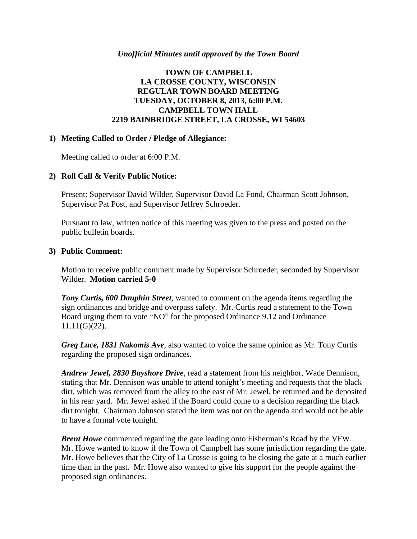#### *Unofficial Minutes until approved by the Town Board*

## **TOWN OF CAMPBELL LA CROSSE COUNTY, WISCONSIN REGULAR TOWN BOARD MEETING TUESDAY, OCTOBER 8, 2013, 6:00 P.M. CAMPBELL TOWN HALL 2219 BAINBRIDGE STREET, LA CROSSE, WI 54603**

### **1) Meeting Called to Order / Pledge of Allegiance:**

Meeting called to order at 6:00 P.M.

### **2) Roll Call & Verify Public Notice:**

Present: Supervisor David Wilder, Supervisor David La Fond, Chairman Scott Johnson, Supervisor Pat Post, and Supervisor Jeffrey Schroeder.

Pursuant to law, written notice of this meeting was given to the press and posted on the public bulletin boards.

#### **3) Public Comment:**

Motion to receive public comment made by Supervisor Schroeder, seconded by Supervisor Wilder. **Motion carried 5-0**

*Tony Curtis, 600 Dauphin Street*, wanted to comment on the agenda items regarding the sign ordinances and bridge and overpass safety. Mr. Curtis read a statement to the Town Board urging them to vote "NO" for the proposed Ordinance 9.12 and Ordinance 11.11(G)(22).

*Greg Luce, 1831 Nakomis Ave*, also wanted to voice the same opinion as Mr. Tony Curtis regarding the proposed sign ordinances.

*Andrew Jewel, 2830 Bayshore Drive*, read a statement from his neighbor, Wade Dennison, stating that Mr. Dennison was unable to attend tonight's meeting and requests that the black dirt, which was removed from the alley to the east of Mr. Jewel, be returned and be deposited in his rear yard. Mr. Jewel asked if the Board could come to a decision regarding the black dirt tonight. Chairman Johnson stated the item was not on the agenda and would not be able to have a formal vote tonight.

*Brent Howe* commented regarding the gate leading onto Fisherman's Road by the VFW. Mr. Howe wanted to know if the Town of Campbell has some jurisdiction regarding the gate. Mr. Howe believes that the City of La Crosse is going to be closing the gate at a much earlier time than in the past. Mr. Howe also wanted to give his support for the people against the proposed sign ordinances.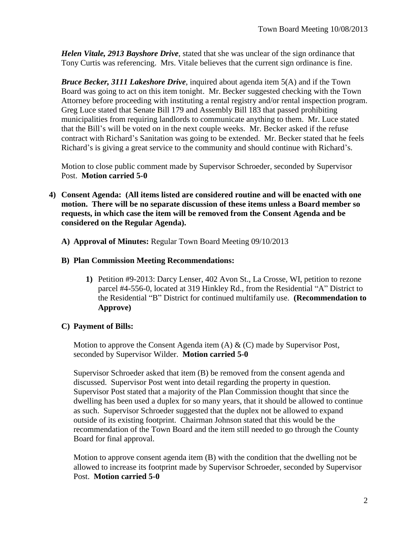*Helen Vitale, 2913 Bayshore Drive*, stated that she was unclear of the sign ordinance that Tony Curtis was referencing. Mrs. Vitale believes that the current sign ordinance is fine.

*Bruce Becker, 3111 Lakeshore Drive*, inquired about agenda item 5(A) and if the Town Board was going to act on this item tonight. Mr. Becker suggested checking with the Town Attorney before proceeding with instituting a rental registry and/or rental inspection program. Greg Luce stated that Senate Bill 179 and Assembly Bill 183 that passed prohibiting municipalities from requiring landlords to communicate anything to them. Mr. Luce stated that the Bill's will be voted on in the next couple weeks. Mr. Becker asked if the refuse contract with Richard's Sanitation was going to be extended. Mr. Becker stated that he feels Richard's is giving a great service to the community and should continue with Richard's.

Motion to close public comment made by Supervisor Schroeder, seconded by Supervisor Post. **Motion carried 5-0**

- **4) Consent Agenda: (All items listed are considered routine and will be enacted with one motion. There will be no separate discussion of these items unless a Board member so requests, in which case the item will be removed from the Consent Agenda and be considered on the Regular Agenda).**
	- **A) Approval of Minutes:** Regular Town Board Meeting 09/10/2013

### **B) Plan Commission Meeting Recommendations:**

**1)** Petition #9-2013: Darcy Lenser, 402 Avon St., La Crosse, WI, petition to rezone parcel #4-556-0, located at 319 Hinkley Rd., from the Residential "A" District to the Residential "B" District for continued multifamily use. **(Recommendation to Approve)**

## **C) Payment of Bills:**

Motion to approve the Consent Agenda item  $(A) \& (C)$  made by Supervisor Post, seconded by Supervisor Wilder. **Motion carried 5-0**

Supervisor Schroeder asked that item (B) be removed from the consent agenda and discussed. Supervisor Post went into detail regarding the property in question. Supervisor Post stated that a majority of the Plan Commission thought that since the dwelling has been used a duplex for so many years, that it should be allowed to continue as such. Supervisor Schroeder suggested that the duplex not be allowed to expand outside of its existing footprint. Chairman Johnson stated that this would be the recommendation of the Town Board and the item still needed to go through the County Board for final approval.

Motion to approve consent agenda item (B) with the condition that the dwelling not be allowed to increase its footprint made by Supervisor Schroeder, seconded by Supervisor Post. **Motion carried 5-0**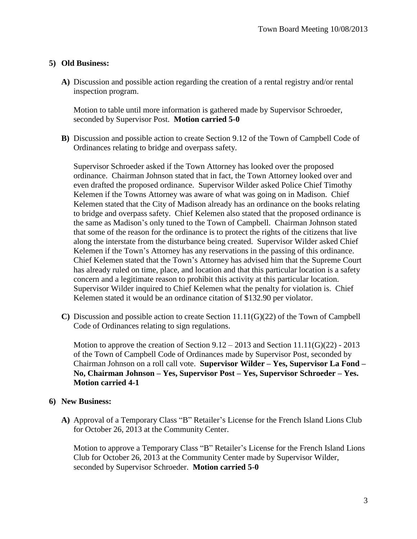## **5) Old Business:**

**A)** Discussion and possible action regarding the creation of a rental registry and/or rental inspection program.

Motion to table until more information is gathered made by Supervisor Schroeder, seconded by Supervisor Post. **Motion carried 5-0**

**B)** Discussion and possible action to create Section 9.12 of the Town of Campbell Code of Ordinances relating to bridge and overpass safety.

Supervisor Schroeder asked if the Town Attorney has looked over the proposed ordinance. Chairman Johnson stated that in fact, the Town Attorney looked over and even drafted the proposed ordinance. Supervisor Wilder asked Police Chief Timothy Kelemen if the Towns Attorney was aware of what was going on in Madison. Chief Kelemen stated that the City of Madison already has an ordinance on the books relating to bridge and overpass safety. Chief Kelemen also stated that the proposed ordinance is the same as Madison's only tuned to the Town of Campbell. Chairman Johnson stated that some of the reason for the ordinance is to protect the rights of the citizens that live along the interstate from the disturbance being created. Supervisor Wilder asked Chief Kelemen if the Town's Attorney has any reservations in the passing of this ordinance. Chief Kelemen stated that the Town's Attorney has advised him that the Supreme Court has already ruled on time, place, and location and that this particular location is a safety concern and a legitimate reason to prohibit this activity at this particular location. Supervisor Wilder inquired to Chief Kelemen what the penalty for violation is. Chief Kelemen stated it would be an ordinance citation of \$132.90 per violator.

**C)** Discussion and possible action to create Section 11.11(G)(22) of the Town of Campbell Code of Ordinances relating to sign regulations.

Motion to approve the creation of Section  $9.12 - 2013$  and Section  $11.11(G)(22)$  - 2013 of the Town of Campbell Code of Ordinances made by Supervisor Post, seconded by Chairman Johnson on a roll call vote. **Supervisor Wilder – Yes, Supervisor La Fond – No, Chairman Johnson – Yes, Supervisor Post – Yes, Supervisor Schroeder – Yes. Motion carried 4-1**

## **6) New Business:**

**A)** Approval of a Temporary Class "B" Retailer's License for the French Island Lions Club for October 26, 2013 at the Community Center.

Motion to approve a Temporary Class "B" Retailer's License for the French Island Lions Club for October 26, 2013 at the Community Center made by Supervisor Wilder, seconded by Supervisor Schroeder. **Motion carried 5-0**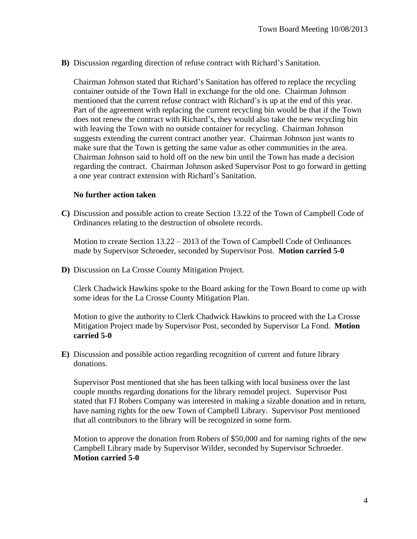**B)** Discussion regarding direction of refuse contract with Richard's Sanitation.

Chairman Johnson stated that Richard's Sanitation has offered to replace the recycling container outside of the Town Hall in exchange for the old one. Chairman Johnson mentioned that the current refuse contract with Richard's is up at the end of this year. Part of the agreement with replacing the current recycling bin would be that if the Town does not renew the contract with Richard's, they would also take the new recycling bin with leaving the Town with no outside container for recycling. Chairman Johnson suggests extending the current contract another year. Chairman Johnson just wants to make sure that the Town is getting the same value as other communities in the area. Chairman Johnson said to hold off on the new bin until the Town has made a decision regarding the contract. Chairman Johnson asked Supervisor Post to go forward in getting a one year contract extension with Richard's Sanitation.

### **No further action taken**

**C)** Discussion and possible action to create Section 13.22 of the Town of Campbell Code of Ordinances relating to the destruction of obsolete records.

Motion to create Section 13.22 – 2013 of the Town of Campbell Code of Ordinances made by Supervisor Schroeder, seconded by Supervisor Post. **Motion carried 5-0**

**D)** Discussion on La Crosse County Mitigation Project.

Clerk Chadwick Hawkins spoke to the Board asking for the Town Board to come up with some ideas for the La Crosse County Mitigation Plan.

Motion to give the authority to Clerk Chadwick Hawkins to proceed with the La Crosse Mitigation Project made by Supervisor Post, seconded by Supervisor La Fond. **Motion carried 5-0**

**E)** Discussion and possible action regarding recognition of current and future library donations.

Supervisor Post mentioned that she has been talking with local business over the last couple months regarding donations for the library remodel project. Supervisor Post stated that FJ Robers Company was interested in making a sizable donation and in return, have naming rights for the new Town of Campbell Library. Supervisor Post mentioned that all contributors to the library will be recognized in some form.

Motion to approve the donation from Robers of \$50,000 and for naming rights of the new Campbell Library made by Supervisor Wilder, seconded by Supervisor Schroeder. **Motion carried 5-0**